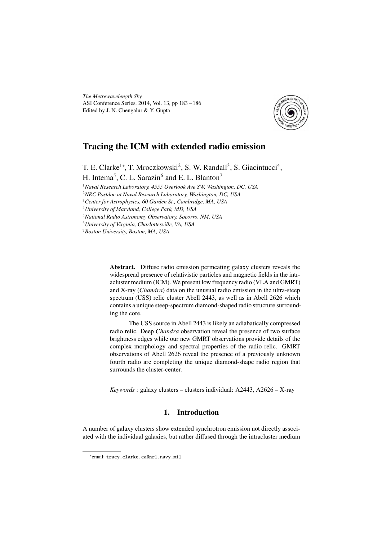*The Metrewavelength Sky* ASI Conference Series, 2014, Vol. 13, pp 183 – 186 Edited by J. N. Chengalur & Y. Gupta



# Tracing the ICM with extended radio emission

T. E. Clarke<sup>1</sup>\*, T. Mroczkowski<sup>2</sup>, S. W. Randall<sup>3</sup>, S. Giacintucci<sup>4</sup>,

H. Intema<sup>5</sup>, C. L. Sarazin<sup>6</sup> and E. L. Blanton<sup>7</sup>

<sup>1</sup>*Naval Research Laboratory, 4555 Overlook Ave SW, Washington, DC, USA*

<sup>2</sup>*NRC Postdoc at Naval Research Laboratory, Washington, DC, USA*

<sup>3</sup>*Center for Astrophysics, 60 Garden St., Cambridge, MA, USA*

<sup>4</sup>*University of Maryland, College Park, MD, USA*

<sup>5</sup>*National Radio Astronomy Observatory, Socorro, NM, USA*

<sup>6</sup>*University of Virginia, Charlottesville, VA, USA*

<sup>7</sup>*Boston University, Boston, MA, USA*

Abstract. Diffuse radio emission permeating galaxy clusters reveals the widespread presence of relativistic particles and magnetic fields in the intracluster medium (ICM). We present low frequency radio (VLA and GMRT) and X-ray (*Chandra*) data on the unusual radio emission in the ultra-steep spectrum (USS) relic cluster Abell 2443, as well as in Abell 2626 which contains a unique steep-spectrum diamond-shaped radio structure surrounding the core.

The USS source in Abell 2443 is likely an adiabatically compressed radio relic. Deep *Chandra* observation reveal the presence of two surface brightness edges while our new GMRT observations provide details of the complex morphology and spectral properties of the radio relic. GMRT observations of Abell 2626 reveal the presence of a previously unknown fourth radio arc completing the unique diamond-shape radio region that surrounds the cluster-center.

*Keywords* : galaxy clusters – clusters individual: A2443, A2626 – X-ray

# 1. Introduction

A number of galaxy clusters show extended synchrotron emission not directly associated with the individual galaxies, but rather diffused through the intracluster medium

<sup>∗</sup> email: tracy.clarke.ca@nrl.navy.mil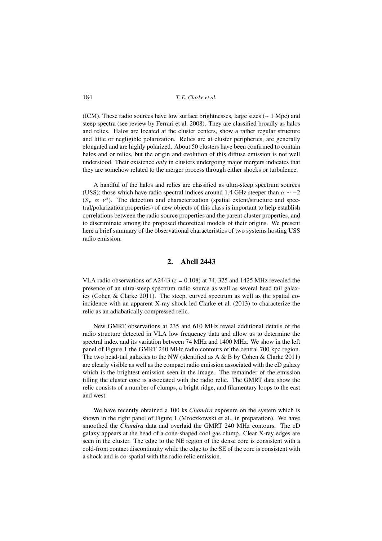184 *T. E. Clarke et al.*

(ICM). These radio sources have low surface brightnesses, large sizes (∼ 1 Mpc) and steep spectra (see review by Ferrari et al. 2008). They are classified broadly as halos and relics. Halos are located at the cluster centers, show a rather regular structure and little or negligible polarization. Relics are at cluster peripheries, are generally elongated and are highly polarized. About 50 clusters have been confirmed to contain halos and or relics, but the origin and evolution of this diffuse emission is not well understood. Their existence *only* in clusters undergoing major mergers indicates that they are somehow related to the merger process through either shocks or turbulence.

A handful of the halos and relics are classified as ultra-steep spectrum sources (USS); those which have radio spectral indices around 1.4 GHz steeper than  $\alpha \sim -2$  $(S<sub>v</sub> \propto v<sup>\alpha</sup>)$ . The detection and characterization (spatial extent/structure and spectral/polarization properties) of new objects of this class is important to help establish correlations between the radio source properties and the parent cluster properties, and to discriminate among the proposed theoretical models of their origins. We present here a brief summary of the observational characteristics of two systems hosting USS radio emission.

# 2. Abell 2443

VLA radio observations of A2443 ( $z = 0.108$ ) at 74, 325 and 1425 MHz revealed the presence of an ultra-steep spectrum radio source as well as several head tail galaxies (Cohen & Clarke 2011). The steep, curved spectrum as well as the spatial coincidence with an apparent X-ray shock led Clarke et al. (2013) to characterize the relic as an adiabatically compressed relic.

New GMRT observations at 235 and 610 MHz reveal additional details of the radio structure detected in VLA low frequency data and allow us to determine the spectral index and its variation between 74 MHz and 1400 MHz. We show in the left panel of Figure 1 the GMRT 240 MHz radio contours of the central 700 kpc region. The two head-tail galaxies to the NW (identified as  $A \& B$  by Cohen  $\&$  Clarke 2011) are clearly visible as well as the compact radio emission associated with the cD galaxy which is the brightest emission seen in the image. The remainder of the emission filling the cluster core is associated with the radio relic. The GMRT data show the relic consists of a number of clumps, a bright ridge, and filamentary loops to the east and west.

We have recently obtained a 100 ks *Chandra* exposure on the system which is shown in the right panel of Figure 1 (Mroczkowski et al., in preparation). We have smoothed the *Chandra* data and overlaid the GMRT 240 MHz contours. The cD galaxy appears at the head of a cone-shaped cool gas clump. Clear X-ray edges are seen in the cluster. The edge to the NE region of the dense core is consistent with a cold-front contact discontinuity while the edge to the SE of the core is consistent with a shock and is co-spatial with the radio relic emission.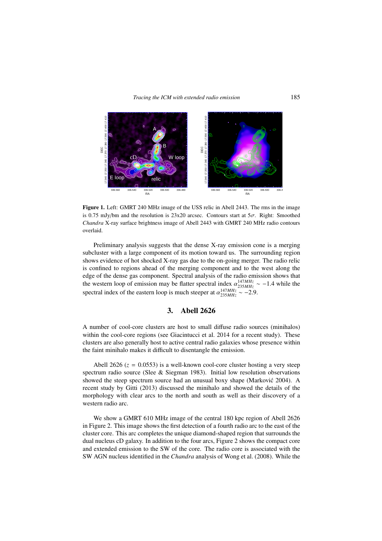#### *Tracing the ICM with extended radio emission* 185



Figure 1. Left: GMRT 240 MHz image of the USS relic in Abell 2443. The rms in the image is 0.75 mJy/bm and the resolution is 23x20 arcsec. Contours start at  $5\sigma$ . Right: Smoothed *Chandra* X-ray surface brightness image of Abell 2443 with GMRT 240 MHz radio contours overlaid.

Preliminary analysis suggests that the dense X-ray emission cone is a merging subcluster with a large component of its motion toward us. The surrounding region shows evidence of hot shocked X-ray gas due to the on-going merger. The radio relic is confined to regions ahead of the merging component and to the west along the edge of the dense gas component. Spectral analysis of the radio emission shows that the western loop of emission may be flatter spectral index  $\alpha_{235MHz}^{147MHz} \sim -1.4$  while the spectral index of the eastern loop is much steeper at  $\alpha_{235MHz}^{147MHz} \sim -2.9$ .

# 3. Abell 2626

A number of cool-core clusters are host to small diffuse radio sources (minihalos) within the cool-core regions (see Giacintucci et al. 2014 for a recent study). These clusters are also generally host to active central radio galaxies whose presence within the faint minihalo makes it difficult to disentangle the emission.

Abell 2626  $(z = 0.0553)$  is a well-known cool-core cluster hosting a very steep spectrum radio source (Slee & Siegman 1983). Initial low resolution observations showed the steep spectrum source had an unusual boxy shape (Markovic 2004). A ´ recent study by Gitti (2013) discussed the minihalo and showed the details of the morphology with clear arcs to the north and south as well as their discovery of a western radio arc.

We show a GMRT 610 MHz image of the central 180 kpc region of Abell 2626 in Figure 2. This image shows the first detection of a fourth radio arc to the east of the cluster core. This arc completes the unique diamond-shaped region that surrounds the dual nucleus cD galaxy. In addition to the four arcs, Figure 2 shows the compact core and extended emission to the SW of the core. The radio core is associated with the SW AGN nucleus identified in the *Chandra* analysis of Wong et al. (2008). While the